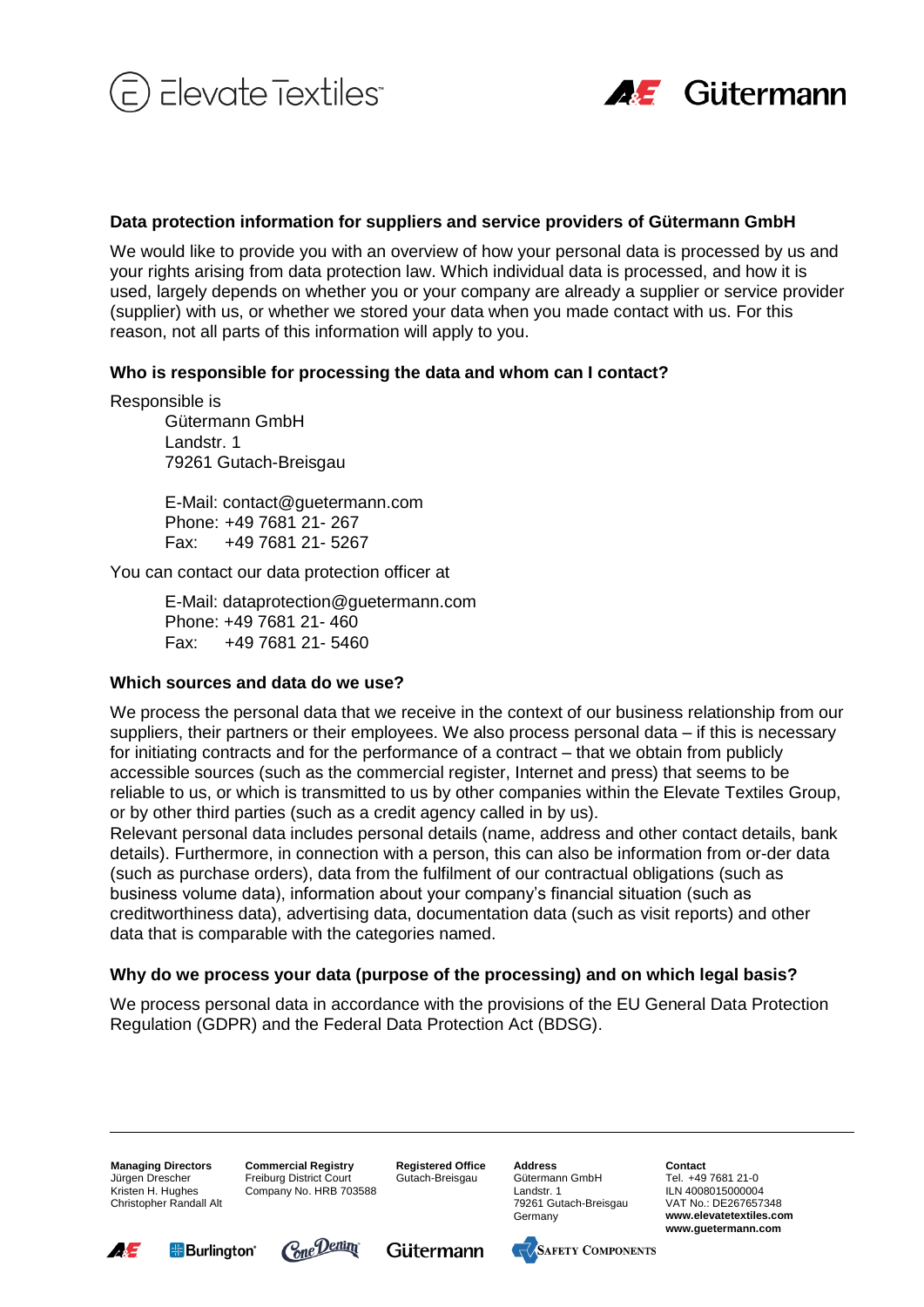



## **Data protection information for suppliers and service providers of Gütermann GmbH**

We would like to provide you with an overview of how your personal data is processed by us and your rights arising from data protection law. Which individual data is processed, and how it is used, largely depends on whether you or your company are already a supplier or service provider (supplier) with us, or whether we stored your data when you made contact with us. For this reason, not all parts of this information will apply to you.

## **Who is responsible for processing the data and whom can I contact?**

Responsible is

Gütermann GmbH Landstr. 1 79261 Gutach-Breisgau

E-Mail: contact@guetermann.com Phone: +49 7681 21- 267 Fax: +49 7681 21- 5267

You can contact our data protection officer at

E-Mail: dataprotection@guetermann.com Phone: +49 7681 21- 460 Fax: +49 7681 21- 5460

#### **Which sources and data do we use?**

We process the personal data that we receive in the context of our business relationship from our suppliers, their partners or their employees. We also process personal data – if this is necessary for initiating contracts and for the performance of a contract – that we obtain from publicly accessible sources (such as the commercial register, Internet and press) that seems to be reliable to us, or which is transmitted to us by other companies within the Elevate Textiles Group, or by other third parties (such as a credit agency called in by us).

Relevant personal data includes personal details (name, address and other contact details, bank details). Furthermore, in connection with a person, this can also be information from or-der data (such as purchase orders), data from the fulfilment of our contractual obligations (such as business volume data), information about your company's financial situation (such as creditworthiness data), advertising data, documentation data (such as visit reports) and other data that is comparable with the categories named.

#### **Why do we process your data (purpose of the processing) and on which legal basis?**

We process personal data in accordance with the provisions of the EU General Data Protection Regulation (GDPR) and the Federal Data Protection Act (BDSG).

**Managing Directors** Jürgen Drescher Kristen H. Hughes Christopher Randall Alt **Commercial Registry** Freiburg District Court Company No. HRB 703588

**Registered Office** Gutach-Breisgau

**Address**

Gütermann GmbH Landstr. 1 79261 Gutach-Breisgau Germany

**Contact** Tel. +49 7681 21-0 ILN 4008015000004 VAT No.: DE267657348 **www.elevatetextiles.com www.guetermann.com**







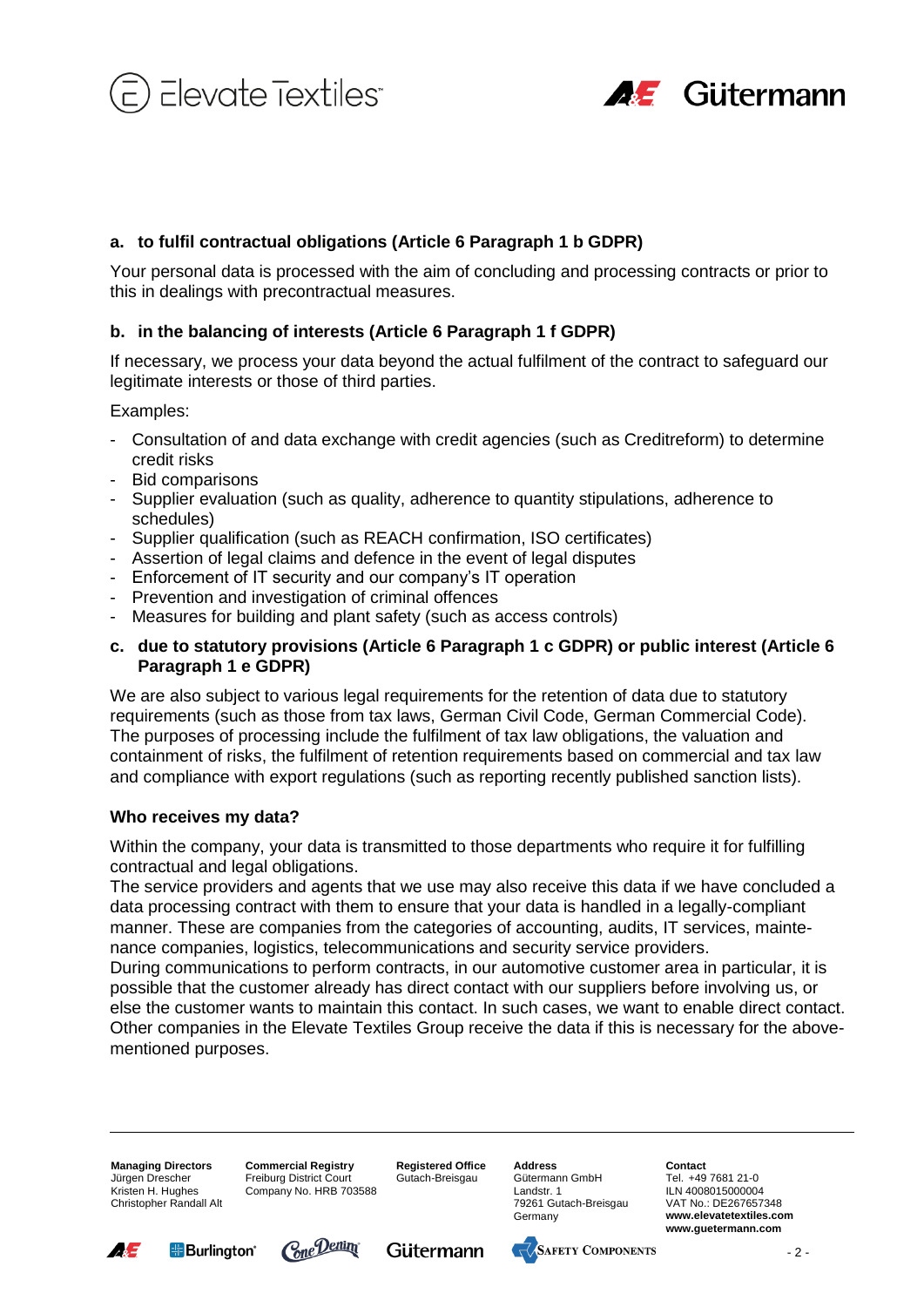

![](_page_1_Picture_1.jpeg)

Your personal data is processed with the aim of concluding and processing contracts or prior to this in dealings with precontractual measures.

# **b. in the balancing of interests (Article 6 Paragraph 1 f GDPR)**

If necessary, we process your data beyond the actual fulfilment of the contract to safeguard our legitimate interests or those of third parties.

Examples:

- Consultation of and data exchange with credit agencies (such as Creditreform) to determine credit risks
- Bid comparisons
- Supplier evaluation (such as quality, adherence to quantity stipulations, adherence to schedules)
- Supplier qualification (such as REACH confirmation, ISO certificates)
- Assertion of legal claims and defence in the event of legal disputes
- Enforcement of IT security and our company's IT operation
- Prevention and investigation of criminal offences
- Measures for building and plant safety (such as access controls)

# **c. due to statutory provisions (Article 6 Paragraph 1 c GDPR) or public interest (Article 6 Paragraph 1 e GDPR)**

We are also subject to various legal requirements for the retention of data due to statutory requirements (such as those from tax laws, German Civil Code, German Commercial Code). The purposes of processing include the fulfilment of tax law obligations, the valuation and containment of risks, the fulfilment of retention requirements based on commercial and tax law and compliance with export regulations (such as reporting recently published sanction lists).

# **Who receives my data?**

Within the company, your data is transmitted to those departments who require it for fulfilling contractual and legal obligations.

The service providers and agents that we use may also receive this data if we have concluded a data processing contract with them to ensure that your data is handled in a legally-compliant manner. These are companies from the categories of accounting, audits, IT services, maintenance companies, logistics, telecommunications and security service providers.

**a.** to fulfil contractual obligations (Article 6 Paragraph 1 b GDPR)<br> **E.** to fulfil contractual objectives (Article 6 Paragraph 1 b GDPR)<br>
In the balancing of interests (Article 6 Paragraph 1 6 DPR)<br>
In The balancing of During communications to perform contracts, in our automotive customer area in particular, it is possible that the customer already has direct contact with our suppliers before involving us, or else the customer wants to maintain this contact. In such cases, we want to enable direct contact. Other companies in the Elevate Textiles Group receive the data if this is necessary for the abovementioned purposes.

**Managing Directors** Jürgen Drescher Kristen H. Hughes Christopher Randall Alt **Commercial Registry** Freiburg District Court Company No. HRB 703588 **Registered Office** Gutach-Breisgau

**Address** Gütermann GmbH Landstr. 1 79261 Gutach-Breisgau Germany

**Contact** Tel. +49 7681 21-0 ILN 4008015000004 VAT No.: DE267657348 **www.elevatetextiles.com www.guetermann.com**

![](_page_1_Picture_27.jpeg)

![](_page_1_Picture_28.jpeg)

![](_page_1_Picture_29.jpeg)

 $-2-$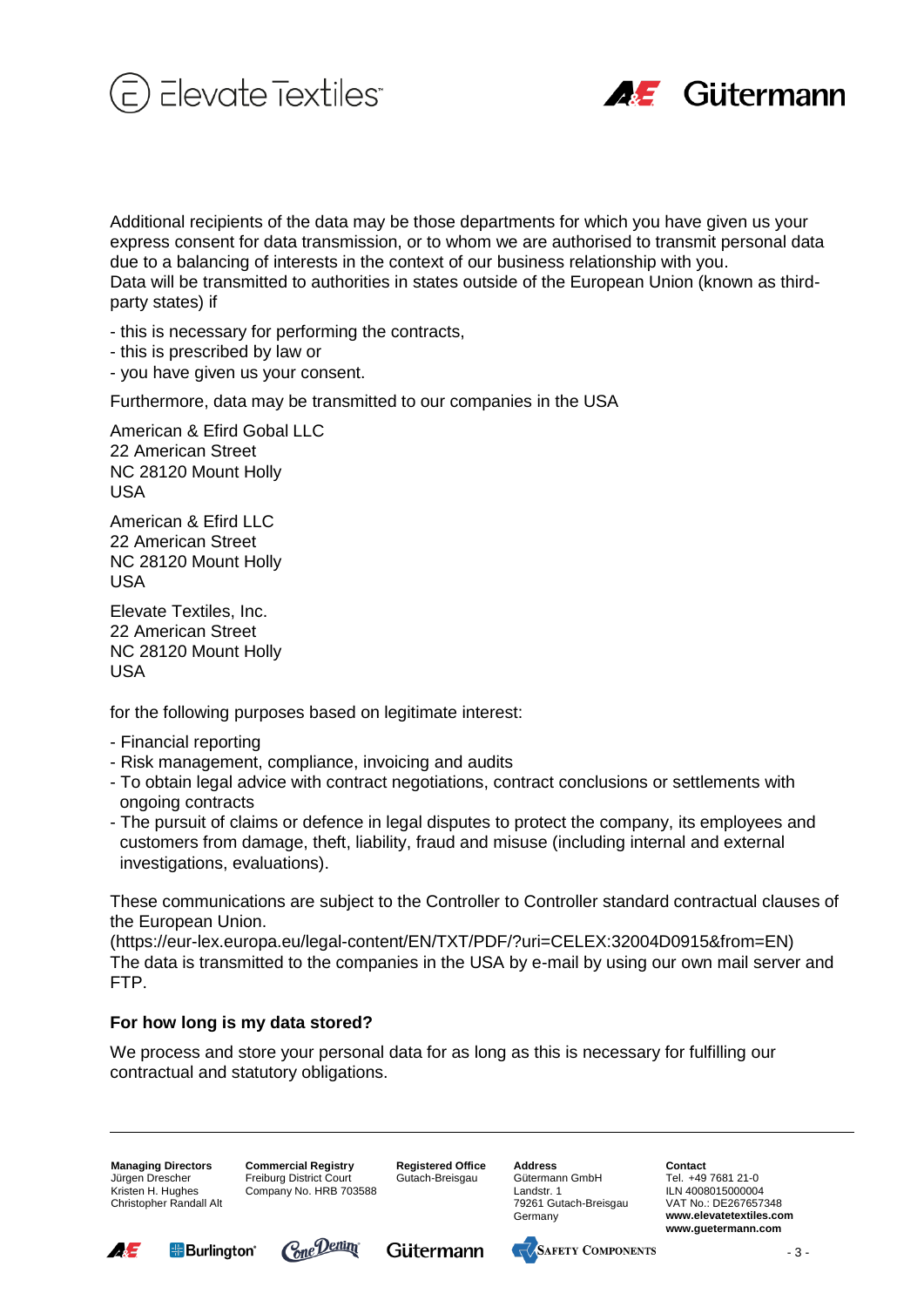![](_page_2_Picture_0.jpeg)

![](_page_2_Picture_1.jpeg)

Additional recipients of the data may be those departments for which you have given us your translation<br>actual recipients of the data may be those departments of the data may be the state of the state of the data<br>of Data w express consent for data transmission, or to whom we are authorised to transmit personal data due to a balancing of interests in the context of our business relationship with you. Data will be transmitted to authorities in states outside of the European Union (known as thirdparty states) if

- this is necessary for performing the contracts,
- this is prescribed by law or
- you have given us your consent.

Furthermore, data may be transmitted to our companies in the USA

American & Efird Gobal LLC 22 American Street NC 28120 Mount Holly USA

American & Ffird LLC 22 American Street NC 28120 Mount Holly USA

Elevate Textiles, Inc. 22 American Street NC 28120 Mount Holly USA

for the following purposes based on legitimate interest:

- Financial reporting
- Risk management, compliance, invoicing and audits
- To obtain legal advice with contract negotiations, contract conclusions or settlements with ongoing contracts
- The pursuit of claims or defence in legal disputes to protect the company, its employees and customers from damage, theft, liability, fraud and misuse (including internal and external investigations, evaluations).

These communications are subject to the Controller to Controller standard contractual clauses of the European Union.

(https://eur-lex.europa.eu/legal-content/EN/TXT/PDF/?uri=CELEX:32004D0915&from=EN) The data is transmitted to the companies in the USA by e-mail by using our own mail server and FTP.

# **For how long is my data stored?**

We process and store your personal data for as long as this is necessary for fulfilling our contractual and statutory obligations.

**Managing Directors** Jürgen Drescher Kristen H. Hughes Christopher Randall Alt **Commercial Registry** Freiburg District Court Company No. HRB 703588 **Registered Office** Gutach-Breisgau

**Address** Gütermann GmbH Landstr. 1 79261 Gutach-Breisgau Germany

**Contact** Tel. +49 7681 21-0 ILN 4008015000004 VAT No.: DE267657348 **www.elevatetextiles.com www.guetermann.com**

![](_page_2_Picture_24.jpeg)

![](_page_2_Picture_25.jpeg)

![](_page_2_Picture_26.jpeg)

![](_page_2_Picture_27.jpeg)

 $-3 -$